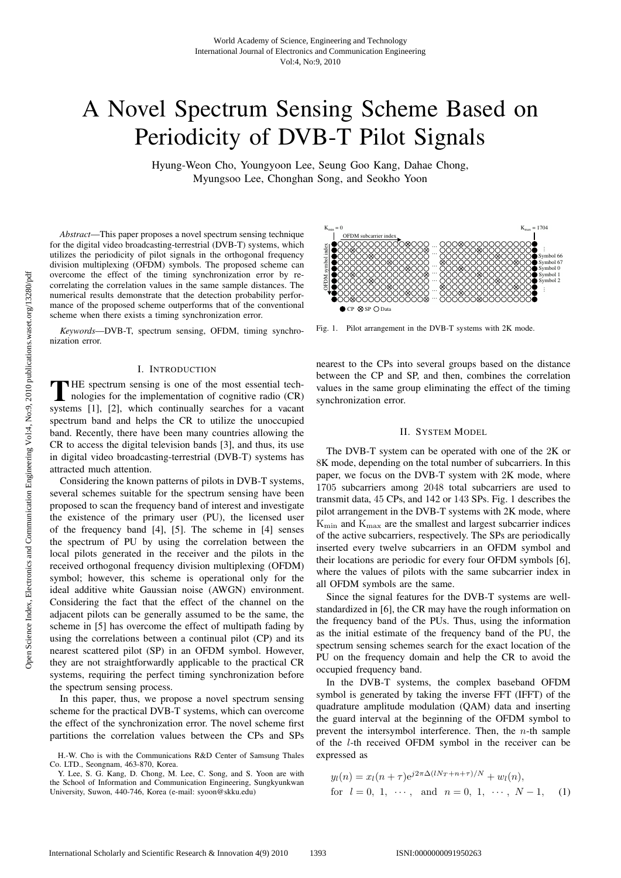# A Novel Spectrum Sensing Scheme Based on Periodicity of DVB-T Pilot Signals

Hyung-Weon Cho, Youngyoon Lee, Seung Goo Kang, Dahae Chong, Myungsoo Lee, Chonghan Song, and Seokho Yoon

*Abstract*—This paper proposes a novel spectrum sensing technique for the digital video broadcasting-terrestrial (DVB-T) systems, which utilizes the periodicity of pilot signals in the orthogonal frequency division multiplexing (OFDM) symbols. The proposed scheme can overcome the effect of the timing synchronization error by recorrelating the correlation values in the same sample distances. The numerical results demonstrate that the detection probability performance of the proposed scheme outperforms that of the conventional scheme when there exists a timing synchronization error.

*Keywords*—DVB-T, spectrum sensing, OFDM, timing synchronization error.

## I. INTRODUCTION

T HE spectrum sensing is one of the most essential technologies for the implementation of cognitive radio (CR) systems [1], [2], which continually searches for a vacant spectrum band and helps the CR to utilize the unoccupied band. Recently, there have been many countries allowing the CR to access the digital television bands [3], and thus, its use in digital video broadcasting-terrestrial (DVB-T) systems has attracted much attention.

Considering the known patterns of pilots in DVB-T systems, several schemes suitable for the spectrum sensing have been proposed to scan the frequency band of interest and investigate the existence of the primary user (PU), the licensed user of the frequency band [4], [5]. The scheme in [4] senses the spectrum of PU by using the correlation between the local pilots generated in the receiver and the pilots in the received orthogonal frequency division multiplexing (OFDM) symbol; however, this scheme is operational only for the ideal additive white Gaussian noise (AWGN) environment. Considering the fact that the effect of the channel on the adjacent pilots can be generally assumed to be the same, the scheme in [5] has overcome the effect of multipath fading by using the correlations between a continual pilot (CP) and its nearest scattered pilot (SP) in an OFDM symbol. However, they are not straightforwardly applicable to the practical CR systems, requiring the perfect timing synchronization before the spectrum sensing process.

In this paper, thus, we propose a novel spectrum sensing scheme for the practical DVB-T systems, which can overcome the effect of the synchronization error. The novel scheme first partitions the correlation values between the CPs and SPs

Symbol 67<br>Symbol 0<br>Symbol 1<br>Symbol 2<br>: Symbol 1 Symbol 2 Symbol 66<br>Symbol 67 OFDM subcarrier index OFDM symbol index  $\bullet$  CP  $\otimes$  SP  $\bigcap$  Data  $K_{\text{min}} = 0$   $K_{\text{max}} = 1704$ 

Fig. 1. Pilot arrangement in the DVB-T systems with 2K mode.

nearest to the CPs into several groups based on the distance between the CP and SP, and then, combines the correlation values in the same group eliminating the effect of the timing synchronization error.

# II. SYSTEM MODEL

The DVB-T system can be operated with one of the 2K or 8K mode, depending on the total number of subcarriers. In this paper, we focus on the DVB-T system with 2K mode, where 1705 subcarriers among 2048 total subcarriers are used to transmit data, 45 CPs, and 142 or 143 SPs. Fig. 1 describes the pilot arrangement in the DVB-T systems with 2K mode, where  $K_{\text{min}}$  and  $K_{\text{max}}$  are the smallest and largest subcarrier indices of the active subcarriers, respectively. The SPs are periodically inserted every twelve subcarriers in an OFDM symbol and their locations are periodic for every four OFDM symbols [6], where the values of pilots with the same subcarrier index in all OFDM symbols are the same.

Since the signal features for the DVB-T systems are wellstandardized in [6], the CR may have the rough information on the frequency band of the PUs. Thus, using the information as the initial estimate of the frequency band of the PU, the spectrum sensing schemes search for the exact location of the PU on the frequency domain and help the CR to avoid the occupied frequency band.

In the DVB-T systems, the complex baseband OFDM symbol is generated by taking the inverse FFT (IFFT) of the quadrature amplitude modulation (QAM) data and inserting the guard interval at the beginning of the OFDM symbol to prevent the intersymbol interference. Then, the  $n$ -th sample of the l-th received OFDM symbol in the receiver can be expressed as

$$
y_l(n) = x_l(n+\tau)e^{j2\pi\Delta(lN_T+n+\tau)/N} + w_l(n),
$$
  
for  $l = 0, 1, \dots$ , and  $n = 0, 1, \dots, N-1$ , (1)

H.-W. Cho is with the Communications R&D Center of Samsung Thales Co. LTD., Seongnam, 463-870, Korea.

Y. Lee, S. G. Kang, D. Chong, M. Lee, C. Song, and S. Yoon are with the School of Information and Communication Engineering, Sungkyunkwan University, Suwon, 440-746, Korea (e-mail: syoon@skku.edu)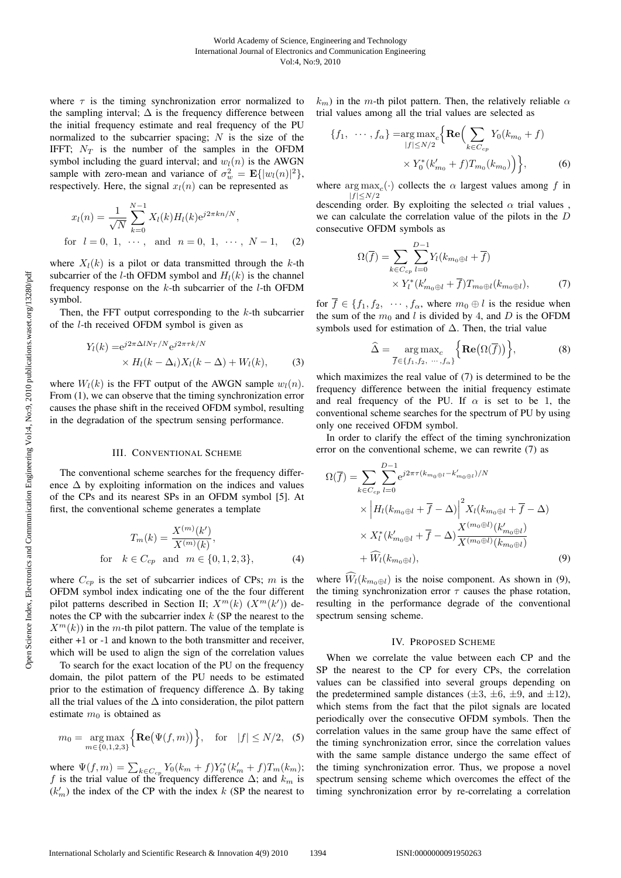where  $\tau$  is the timing synchronization error normalized to the sampling interval;  $\Delta$  is the frequency difference between the initial frequency estimate and real frequency of the PU normalized to the subcarrier spacing;  $N$  is the size of the IFFT;  $N_T$  is the number of the samples in the OFDM symbol including the guard interval; and  $w_l(n)$  is the AWGN sample with zero-mean and variance of  $\sigma_w^2 = \mathbf{E}\{|w_l(n)|^2\}$ , respectively. Here, the signal  $x_l(n)$  can be represented as

$$
x_l(n) = \frac{1}{\sqrt{N}} \sum_{k=0}^{N-1} X_l(k) H_l(k) e^{j2\pi kn/N},
$$
  
for  $l = 0, 1, \cdots$ , and  $n = 0, 1, \cdots, N-1$ , (2)

where  $X_l(k)$  is a pilot or data transmitted through the k-th subcarrier of the *l*-th OFDM symbol and  $H_l(k)$  is the channel frequency response on the  $k$ -th subcarrier of the  $l$ -th OFDM symbol.

Then, the FFT output corresponding to the  $k$ -th subcarrier of the l-th received OFDM symbol is given as

$$
Y_l(k) = e^{j2\pi \Delta l N_T/N} e^{j2\pi \tau k/N}
$$
  
 
$$
\times H_l(k - \Delta_i) X_l(k - \Delta) + W_l(k), \tag{3}
$$

where  $W_l(k)$  is the FFT output of the AWGN sample  $w_l(n)$ . From  $(1)$ , we can observe that the timing synchronization error causes the phase shift in the received OFDM symbol, resulting in the degradation of the spectrum sensing performance.

## III. CONVENTIONAL SCHEME

The conventional scheme searches for the frequency difference  $\Delta$  by exploiting information on the indices and values of the CPs and its nearest SPs in an OFDM symbol [5]. At first, the conventional scheme generates a template

$$
T_m(k) = \frac{X^{(m)}(k')}{X^{(m)}(k)},
$$
  
for  $k \in C_{cp}$  and  $m \in \{0, 1, 2, 3\},$  (4)

where  $C_{cp}$  is the set of subcarrier indices of CPs; m is the OFDM symbol index indicating one of the the four different pilot patterns described in Section II;  $X^m(k)$   $(X^m(k'))$  denotes the CP with the subcarrier index  $k$  (SP the nearest to the  $X^m(k)$  in the m-th pilot pattern. The value of the template is either +1 or -1 and known to the both transmitter and receiver, which will be used to align the sign of the correlation values

To search for the exact location of the PU on the frequency domain, the pilot pattern of the PU needs to be estimated prior to the estimation of frequency difference  $\Delta$ . By taking all the trial values of the  $\Delta$  into consideration, the pilot pattern estimate  $m_0$  is obtained as

$$
m_0 = \underset{m \in \{0, 1, 2, 3\}}{\arg \max} \Big\{ \mathbf{Re} \big( \Psi(f, m) \big) \Big\}, \quad \text{for} \quad |f| \le N/2, \tag{5}
$$

where  $\Psi(f, m) = \sum_{k \in C_{cp}} Y_0(k_m + f) Y_0^*(k'_m + f) T_m(k_m);$ f is the trial value of the frequency difference  $\Delta$ ; and  $k_m$  is  $(k'_m)$  the index of the CP with the index k (SP the nearest to

 $k_m$ ) in the m-th pilot pattern. Then, the relatively reliable  $\alpha$ trial values among all the trial values are selected as

$$
\{f_1, \dots, f_{\alpha}\} = \underset{|f| \le N/2}{\arg \max_{f} \{ \text{Re} \Big( \sum_{k \in C_{cp}} Y_0(k_{m_0} + f) \times Y_0^*(k'_{m_0} + f) T_{m_0}(k_{m_0}) \Big) \}, \tag{6}
$$

where  $\arg \max_c(\cdot)$  collects the  $\alpha$  largest values among f in  $|f|$   $\leq$   $N/2$ 

descending order. By exploiting the selected  $\alpha$  trial values, we can calculate the correlation value of the pilots in the D consecutive OFDM symbols as

$$
\Omega(\overline{f}) = \sum_{k \in C_{cp}} \sum_{l=0}^{D-1} Y_l(k_{m_0 \oplus l} + \overline{f})
$$
  
 
$$
\times Y_l^*(k'_{m_0 \oplus l} + \overline{f}) T_{m_0 \oplus l}(k_{m_0 \oplus l}), \tag{7}
$$

for  $\overline{f} \in \{f_1, f_2, \dots, f_\alpha\}$ , where  $m_0 \oplus l$  is the residue when the sum of the  $m_0$  and l is divided by 4, and D is the OFDM symbols used for estimation of  $\Delta$ . Then, the trial value

$$
\widehat{\Delta} = \underset{\overline{f} \in \{f_1, f_2, \dots, f_{\alpha}\}}{\arg \max}_{c} \Big\{ \mathbf{Re} \big( \Omega(\overline{f}) \big) \Big\},\tag{8}
$$

which maximizes the real value of (7) is determined to be the frequency difference between the initial frequency estimate and real frequency of the PU. If  $\alpha$  is set to be 1, the conventional scheme searches for the spectrum of PU by using only one received OFDM symbol.

In order to clarify the effect of the timing synchronization error on the conventional scheme, we can rewrite (7) as

$$
\Omega(\overline{f}) = \sum_{k \in C_{cp}} \sum_{l=0}^{D-1} e^{j2\pi \tau (k_{m_0 \oplus l} - k'_{m_0 \oplus l})/N} \times \left| H_l(k_{m_0 \oplus l} + \overline{f} - \Delta) \right|^2 X_l(k_{m_0 \oplus l} + \overline{f} - \Delta) \times X_l^*(k'_{m_0 \oplus l} + \overline{f} - \Delta) \frac{X^{(m_0 \oplus l)}(k'_{m_0 \oplus l})}{X^{(m_0 \oplus l)}(k_{m_0 \oplus l})} + \widehat{W}_l(k_{m_0 \oplus l}), \tag{9}
$$

where  $W_l(k_{m_0\oplus l})$  is the noise component. As shown in (9), the timing synchronization error  $\tau$  causes the phase rotation, resulting in the performance degrade of the conventional spectrum sensing scheme.

## IV. PROPOSED SCHEME

When we correlate the value between each CP and the SP the nearest to the CP for every CPs, the correlation values can be classified into several groups depending on the predetermined sample distances ( $\pm 3$ ,  $\pm 6$ ,  $\pm 9$ , and  $\pm 12$ ), which stems from the fact that the pilot signals are located periodically over the consecutive OFDM symbols. Then the correlation values in the same group have the same effect of the timing synchronization error, since the correlation values with the same sample distance undergo the same effect of the timing synchronization error. Thus, we propose a novel spectrum sensing scheme which overcomes the effect of the timing synchronization error by re-correlating a correlation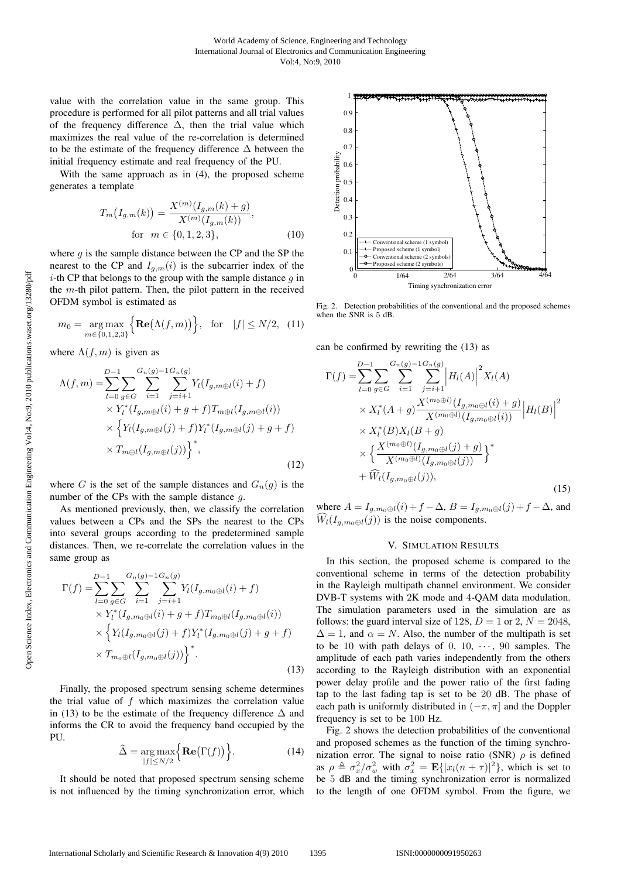value with the correlation value in the same group. This procedure is performed for all pilot patterns and all trial values of the frequency difference  $\Delta$ , then the trial value which maximizes the real value of the re-correlation is determined to be the estimate of the frequency difference  $\Delta$  between the initial frequency estimate and real frequency of the PU.

With the same approach as in (4), the proposed scheme generates a template

$$
T_m(I_{g,m}(k)) = \frac{X^{(m)}(I_{g,m}(k) + g)}{X^{(m)}(I_{g,m}(k))},
$$
  
for  $m \in \{0, 1, 2, 3\},$  (10)

where  $g$  is the sample distance between the CP and the SP the nearest to the CP and  $I_{q,m}(i)$  is the subcarrier index of the *i*-th CP that belongs to the group with the sample distance  $q$  in the  $m$ -th pilot pattern. Then, the pilot pattern in the received OFDM symbol is estimated as

$$
m_0 = \underset{m \in \{0, 1, 2, 3\}}{\arg \max} \Big\{ \mathbf{Re}(\Lambda(f, m)) \Big\}, \text{ for } |f| \le N/2, (11)
$$

where  $\Lambda(f, m)$  is given as

$$
\Lambda(f,m) = \sum_{l=0}^{D-1} \sum_{g \in G} \sum_{i=1}^{G_n(g)-1} \sum_{j=i+1}^{G_n(g)} Y_l(I_{g,m \oplus l}(i) + f) \times Y_l^*(I_{g,m \oplus l}(i) + g + f)T_{m \oplus l}(I_{g,m \oplus l}(i)) \times \left\{ Y_l(I_{g,m \oplus l}(j) + f)Y_l^*(I_{g,m \oplus l}(j) + g + f) \right. \times T_{m \oplus l}(I_{g,m \oplus l}(j)) \right\}^*,
$$
\n(12)

where G is the set of the sample distances and  $G_n(g)$  is the number of the CPs with the sample distance  $q$ .

As mentioned previously, then, we classify the correlation values between a CPs and the SPs the nearest to the CPs into several groups according to the predetermined sample distances. Then, we re-correlate the correlation values in the same group as

$$
\Gamma(f) = \sum_{l=0}^{D-1} \sum_{g \in G} \sum_{i=1}^{G_n(g)-1} \sum_{j=i+1}^{G_n(g)} Y_l(I_{g,m_0 \oplus l}(i) + f) \times Y_l^*(I_{g,m_0 \oplus l}(i) + g + f) T_{m_0 \oplus l}(I_{g,m_0 \oplus l}(i)) \times \left\{ Y_l(I_{g,m_0 \oplus l}(j) + f) Y_l^*(I_{g,m_0 \oplus l}(j) + g + f) \times T_{m_0 \oplus l}(I_{g,m_0 \oplus l}(j)) \right\}^*.
$$
\n(13)

Finally, the proposed spectrum sensing scheme determines the trial value of  $f$  which maximizes the correlation value in (13) to be the estimate of the frequency difference  $\Delta$  and informs the CR to avoid the frequency band occupied by the PU.

$$
\widehat{\Delta} = \underset{|f| \le N/2}{\arg \max} \Big\{ \mathbf{Re} \big( \Gamma(f) \big) \Big\}.
$$
 (14)

It should be noted that proposed spectrum sensing scheme is not influenced by the timing synchronization error, which



Fig. 2. Detection probabilities of the conventional and the proposed schemes when the SNR is 5 dB.

can be confirmed by rewriting the (13) as

$$
\Gamma(f) = \sum_{l=0}^{D-1} \sum_{g \in G} \sum_{i=1}^{G_n(g)-1} \sum_{j=i+1}^{G_n(g)} \left| H_l(A) \right|^2 X_l(A) \times X_l^*(A+g) \frac{X^{(m_0 \oplus l)}(I_{g,m_0 \oplus l}(i)+g)}{X^{(m_0 \oplus l)}(I_{g,m_0 \oplus l}(i))} \left| H_l(B) \right|^2 \times X_l^*(B) X_l(B+g) \times \left\{ \frac{X^{(m_0 \oplus l)}(I_{g,m_0 \oplus l}(j)+g)}{X^{(m_0 \oplus l)}(I_{g,m_0 \oplus l}(j))} \right\}^* + \widehat{W}_l(I_{g,m_0 \oplus l}(j)),
$$
\n(15)

where  $A = I_{g,m_0 \oplus l}(i) + f - \Delta$ ,  $B = I_{g,m_0 \oplus l}(j) + f - \Delta$ , and  $W_l(I_{g,m_0\oplus l}(j))$  is the noise components.

### V. SIMULATION RESULTS

In this section, the proposed scheme is compared to the conventional scheme in terms of the detection probability in the Rayleigh multipath channel environment. We consider DVB-T systems with 2K mode and 4-QAM data modulation. The simulation parameters used in the simulation are as follows: the guard interval size of 128,  $D = 1$  or 2,  $N = 2048$ ,  $\Delta = 1$ , and  $\alpha = N$ . Also, the number of the multipath is set to be 10 with path delays of 0, 10,  $\cdots$ , 90 samples. The amplitude of each path varies independently from the others according to the Rayleigh distribution with an exponential power delay profile and the power ratio of the first fading tap to the last fading tap is set to be 20 dB. The phase of each path is uniformly distributed in  $(-\pi, \pi]$  and the Doppler frequency is set to be 100 Hz.

Fig. 2 shows the detection probabilities of the conventional and proposed schemes as the function of the timing synchronization error. The signal to noise ratio (SNR)  $\rho$  is defined as  $\rho \triangleq \sigma_x^2/\sigma_w^2$  with  $\sigma_x^2 = \mathbf{E}\{|x_l(n+\tau)|^2\}$ , which is set to be 5 dB and the timing synchronization error is normalized to the length of one OFDM symbol. From the figure, we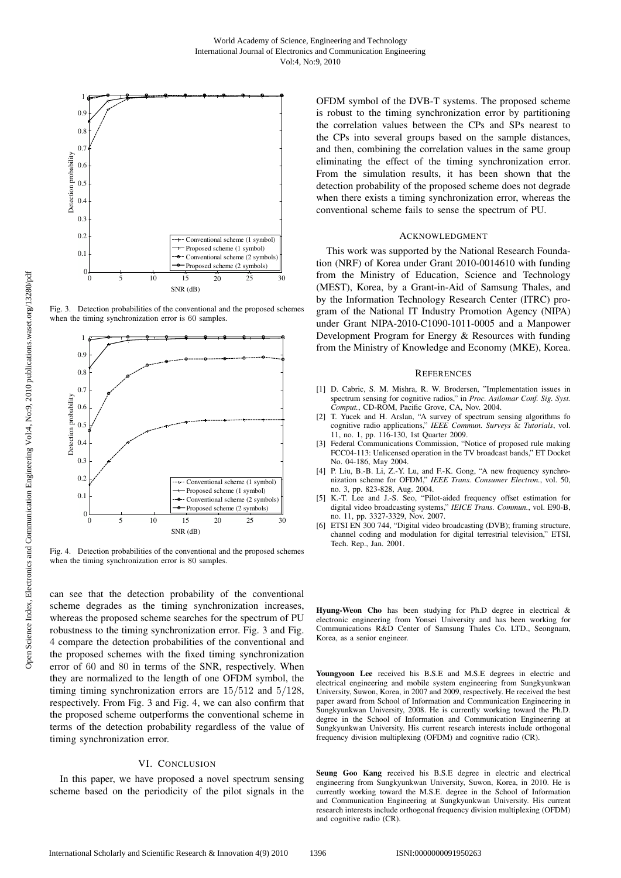

Fig. 3. Detection probabilities of the conventional and the proposed schemes when the timing synchronization error is 60 samples.



Fig. 4. Detection probabilities of the conventional and the proposed schemes when the timing synchronization error is 80 samples.

can see that the detection probability of the conventional scheme degrades as the timing synchronization increases, whereas the proposed scheme searches for the spectrum of PU robustness to the timing synchronization error. Fig. 3 and Fig. 4 compare the detection probabilities of the conventional and the proposed schemes with the fixed timing synchronization error of 60 and 80 in terms of the SNR, respectively. When they are normalized to the length of one OFDM symbol, the timing timing synchronization errors are 15/512 and 5/128, respectively. From Fig. 3 and Fig. 4, we can also confirm that the proposed scheme outperforms the conventional scheme in terms of the detection probability regardless of the value of timing synchronization error.

# VI. CONCLUSION

In this paper, we have proposed a novel spectrum sensing scheme based on the periodicity of the pilot signals in the OFDM symbol of the DVB-T systems. The proposed scheme is robust to the timing synchronization error by partitioning the correlation values between the CPs and SPs nearest to the CPs into several groups based on the sample distances, and then, combining the correlation values in the same group eliminating the effect of the timing synchronization error. From the simulation results, it has been shown that the detection probability of the proposed scheme does not degrade when there exists a timing synchronization error, whereas the conventional scheme fails to sense the spectrum of PU.

#### ACKNOWLEDGMENT

This work was supported by the National Research Foundation (NRF) of Korea under Grant 2010-0014610 with funding from the Ministry of Education, Science and Technology (MEST), Korea, by a Grant-in-Aid of Samsung Thales, and by the Information Technology Research Center (ITRC) program of the National IT Industry Promotion Agency (NIPA) under Grant NIPA-2010-C1090-1011-0005 and a Manpower Development Program for Energy & Resources with funding from the Ministry of Knowledge and Economy (MKE), Korea.

#### **REFERENCES**

- [1] D. Cabric, S. M. Mishra, R. W. Brodersen, "Implementation issues in spectrum sensing for cognitive radios," in *Proc. Asilomar Conf. Sig. Syst. Comput.*, CD-ROM, Pacific Grove, CA, Nov. 2004.
- [2] T. Yucek and H. Arslan, "A survey of spectrum sensing algorithms fo cognitive radio applications," *IEEE Commun. Surveys* & *Tutorials*, vol. 11, no. 1, pp. 116-130, 1st Quarter 2009.
- [3] Federal Communications Commission, "Notice of proposed rule making FCC04-113: Unlicensed operation in the TV broadcast bands," ET Docket No. 04-186, May 2004.
- [4] P. Liu, B.-B. Li, Z.-Y. Lu, and F.-K. Gong, "A new frequency synchronization scheme for OFDM," *IEEE Trans. Consumer Electron.*, vol. 50, no. 3, pp. 823-828, Aug. 2004.
- [5] K.-T. Lee and J.-S. Seo, "Pilot-aided frequency offset estimation for digital video broadcasting systems," *IEICE Trans. Commun.*, vol. E90-B, no. 11, pp. 3327-3329, Nov. 2007.
- [6] ETSI EN 300 744, "Digital video broadcasting (DVB); framing structure, channel coding and modulation for digital terrestrial television," ETSI, Tech. Rep., Jan. 2001.

Hyung-Weon Cho has been studying for Ph.D degree in electrical & electronic engineering from Yonsei University and has been working for Communications R&D Center of Samsung Thales Co. LTD., Seongnam, Korea, as a senior engineer.

Youngyoon Lee received his B.S.E and M.S.E degrees in electric and electrical engineering and mobile system engineering from Sungkyunkwan University, Suwon, Korea, in 2007 and 2009, respectively. He received the best paper award from School of Information and Communication Engineering in Sungkyunkwan University, 2008. He is currently working toward the Ph.D. degree in the School of Information and Communication Engineering at Sungkyunkwan University. His current research interests include orthogonal frequency division multiplexing (OFDM) and cognitive radio (CR).

Seung Goo Kang received his B.S.E degree in electric and electrical engineering from Sungkyunkwan University, Suwon, Korea, in 2010. He is currently working toward the M.S.E. degree in the School of Information and Communication Engineering at Sungkyunkwan University. His current research interests include orthogonal frequency division multiplexing (OFDM) and cognitive radio (CR).